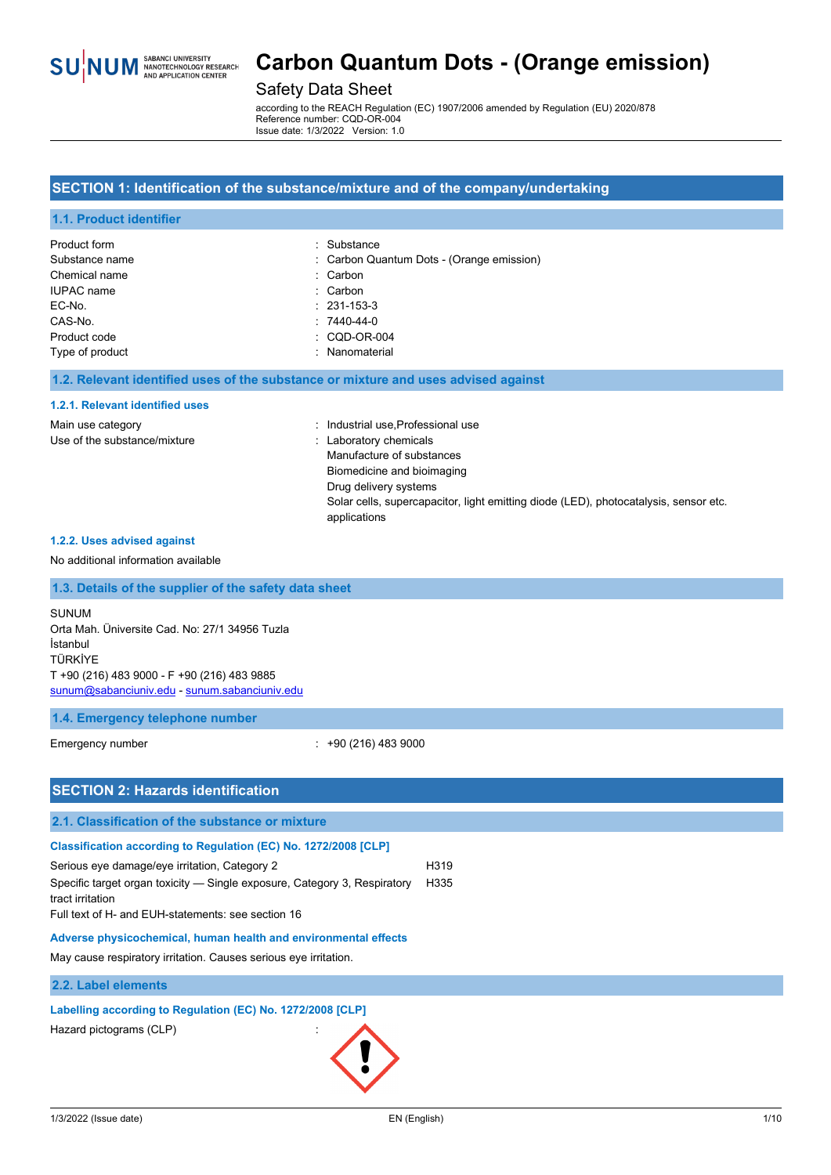

### Safety Data Sheet

according to the REACH Regulation (EC) 1907/2006 amended by Regulation (EU) 2020/878 Reference number: CQD-OR-004 Issue date: 1/3/2022 Version: 1.0

#### **SECTION 1: Identification of the substance/mixture and of the company/undertaking**

#### **1.1. Product identifier**

| Product form      | : Substance                               |
|-------------------|-------------------------------------------|
| Substance name    | : Carbon Quantum Dots - (Orange emission) |
| Chemical name     | : Carbon                                  |
| <b>IUPAC</b> name | : Carbon                                  |
| EC-No.            | $: 231 - 153 - 3$                         |
| CAS-No.           | $: 7440 - 44 - 0$                         |
| Product code      | $\therefore$ CQD-OR-004                   |
| Type of product   | : Nanomaterial                            |

#### **1.2. Relevant identified uses of the substance or mixture and uses advised against**

#### **1.2.1. Relevant identified uses**

| Main use category            | : Industrial use, Professional use                                                   |
|------------------------------|--------------------------------------------------------------------------------------|
| Use of the substance/mixture | : Laboratory chemicals                                                               |
|                              | Manufacture of substances                                                            |
|                              | Biomedicine and bioimaging                                                           |
|                              | Drug delivery systems                                                                |
|                              | Solar cells, supercapacitor, light emitting diode (LED), photocatalysis, sensor etc. |
|                              | applications                                                                         |

#### **1.2.2. Uses advised against**

#### No additional information available

### **1.3. Details of the supplier of the safety data sheet**

SUNUM Orta Mah. Üniversite Cad. No: 27/1 34956 Tuzla İstanbul TÜRKİYE T +90 (216) 483 9000 - F +90 (216) 483 9885 [sunum@sabanciuniv.edu](mailto:sunum@sabanciuniv.edu) - [sunum.sabanciuniv.edu](http://sunum.sabanciuniv.edu/)

#### **1.4. Emergency telephone number**

Emergency number : +90 (216) 483 9000

| <b>SECTION 2: Hazards identification</b>                                                                                                                                                                                                                                                                                                                                                                       |              |
|----------------------------------------------------------------------------------------------------------------------------------------------------------------------------------------------------------------------------------------------------------------------------------------------------------------------------------------------------------------------------------------------------------------|--------------|
| 2.1. Classification of the substance or mixture                                                                                                                                                                                                                                                                                                                                                                |              |
| Classification according to Regulation (EC) No. 1272/2008 [CLP]<br>Serious eye damage/eye irritation, Category 2<br>Specific target organ toxicity — Single exposure, Category 3, Respiratory<br>tract irritation<br>Full text of H- and EUH-statements: see section 16<br>Adverse physicochemical, human health and environmental effects<br>May cause respiratory irritation. Causes serious eye irritation. | H319<br>H335 |
| 2.2. Label elements                                                                                                                                                                                                                                                                                                                                                                                            |              |
| Labelling according to Regulation (EC) No. 1272/2008 [CLP]<br>Hazard pictograms (CLP)                                                                                                                                                                                                                                                                                                                          |              |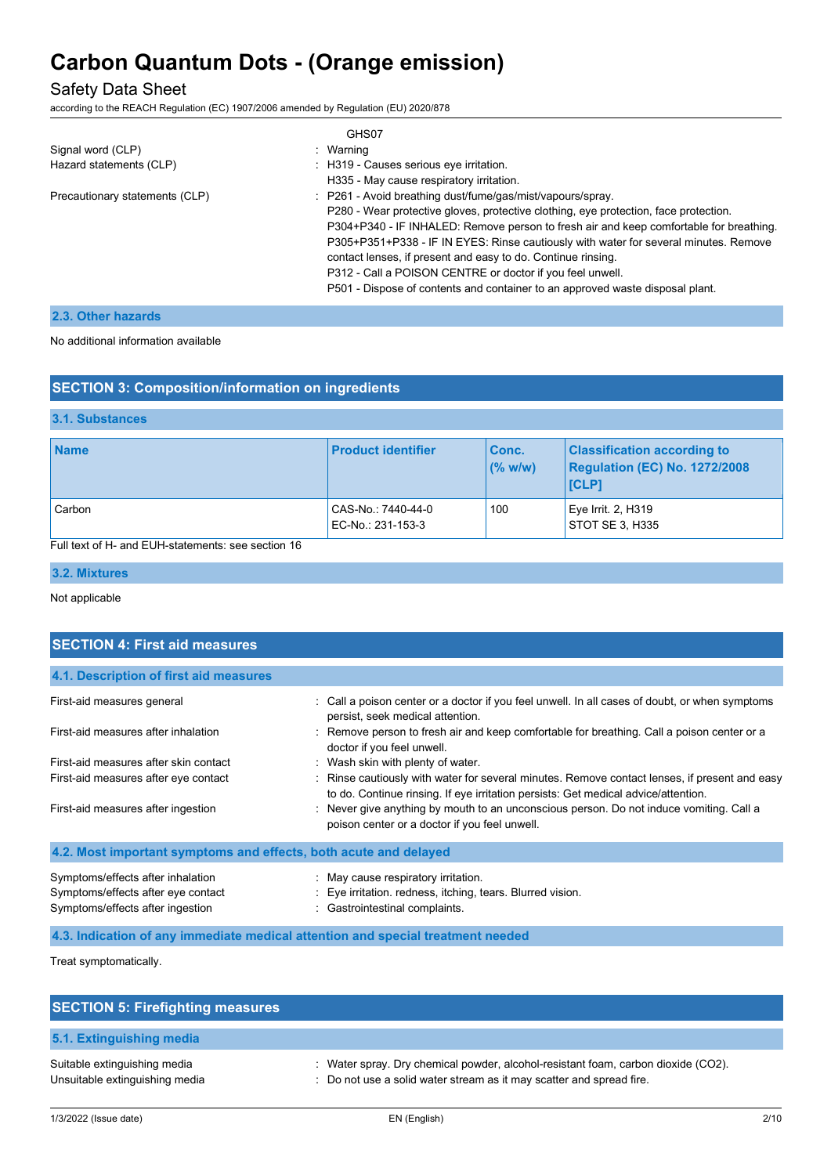## Safety Data Sheet

according to the REACH Regulation (EC) 1907/2006 amended by Regulation (EU) 2020/878

|                                | GHS07                                                                                  |
|--------------------------------|----------------------------------------------------------------------------------------|
| Signal word (CLP)              | : Warning                                                                              |
| Hazard statements (CLP)        | : H319 - Causes serious eye irritation.                                                |
|                                | H335 - May cause respiratory irritation.                                               |
| Precautionary statements (CLP) | : P261 - Avoid breathing dust/fume/gas/mist/vapours/spray.                             |
|                                | P280 - Wear protective gloves, protective clothing, eye protection, face protection.   |
|                                | P304+P340 - IF INHALED: Remove person to fresh air and keep comfortable for breathing. |
|                                | P305+P351+P338 - IF IN EYES: Rinse cautiously with water for several minutes. Remove   |
|                                | contact lenses, if present and easy to do. Continue rinsing.                           |
|                                | P312 - Call a POISON CENTRE or doctor if you feel unwell.                              |
|                                | P501 - Dispose of contents and container to an approved waste disposal plant.          |

### **2.3. Other hazards**

No additional information available

| <b>SECTION 3: Composition/information on ingredients</b> |  |
|----------------------------------------------------------|--|
|----------------------------------------------------------|--|

#### **3.1. Substances**

| <b>Name</b> | <b>Product identifier</b>               | <b>Conc.</b><br>(% w/w) | <b>Classification according to</b><br><b>Regulation (EC) No. 1272/2008</b><br><b>ICLP1</b> |
|-------------|-----------------------------------------|-------------------------|--------------------------------------------------------------------------------------------|
| Carbon      | CAS-No.: 7440-44-0<br>EC-No.: 231-153-3 | 100                     | Eye Irrit. 2, H319<br>STOT SE 3. H335                                                      |

Full text of H- and EUH-statements: see section 16

#### **3.2. Mixtures**

Not applicable

| <b>SECTION 4: First aid measures</b>                                                                        |                                                                                                                                                                                     |
|-------------------------------------------------------------------------------------------------------------|-------------------------------------------------------------------------------------------------------------------------------------------------------------------------------------|
| 4.1. Description of first aid measures                                                                      |                                                                                                                                                                                     |
| First-aid measures general                                                                                  | : Call a poison center or a doctor if you feel unwell. In all cases of doubt, or when symptoms<br>persist, seek medical attention.                                                  |
| First-aid measures after inhalation                                                                         | : Remove person to fresh air and keep comfortable for breathing. Call a poison center or a<br>doctor if you feel unwell.                                                            |
| First-aid measures after skin contact                                                                       | : Wash skin with plenty of water.                                                                                                                                                   |
| First-aid measures after eye contact                                                                        | : Rinse cautiously with water for several minutes. Remove contact lenses, if present and easy<br>to do. Continue rinsing. If eye irritation persists: Get medical advice/attention. |
| First-aid measures after ingestion                                                                          | : Never give anything by mouth to an unconscious person. Do not induce vomiting. Call a<br>poison center or a doctor if you feel unwell.                                            |
| 4.2. Most important symptoms and effects, both acute and delayed                                            |                                                                                                                                                                                     |
| Symptoms/effects after inhalation<br>Symptoms/effects after eye contact<br>Symptoms/effects after ingestion | : May cause respiratory irritation.<br>: Eye irritation. redness, itching, tears. Blurred vision.<br>: Gastrointestinal complaints.                                                 |
|                                                                                                             | 4.3. Indication of any immediate medical attention and special treatment needed                                                                                                     |

Treat symptomatically.

| <b>SECTION 5: Firefighting measures</b>                        |                                                                                                                                                           |
|----------------------------------------------------------------|-----------------------------------------------------------------------------------------------------------------------------------------------------------|
| 5.1. Extinguishing media                                       |                                                                                                                                                           |
| Suitable extinguishing media<br>Unsuitable extinguishing media | : Water spray. Dry chemical powder, alcohol-resistant foam, carbon dioxide (CO2).<br>: Do not use a solid water stream as it may scatter and spread fire. |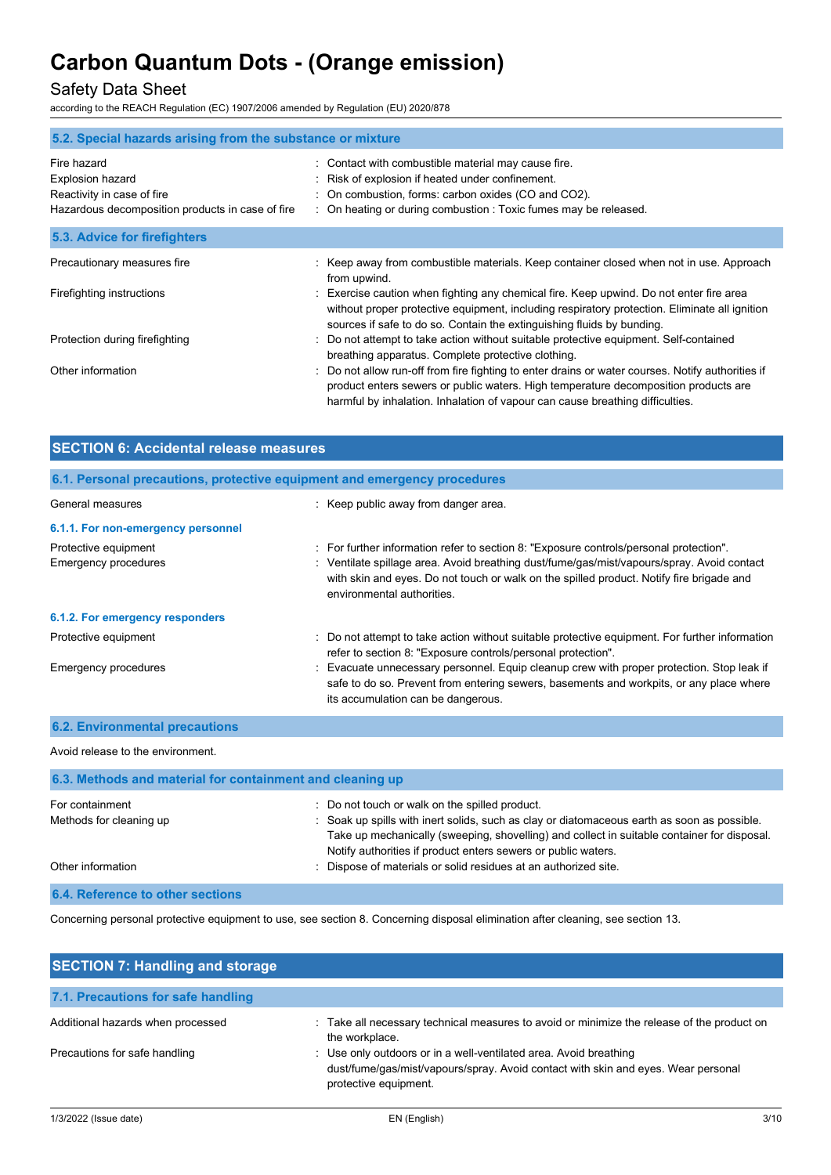## Safety Data Sheet

according to the REACH Regulation (EC) 1907/2006 amended by Regulation (EU) 2020/878

| 5.2. Special hazards arising from the substance or mixture                                                        |                                                                                                                                                                                                                                                                         |
|-------------------------------------------------------------------------------------------------------------------|-------------------------------------------------------------------------------------------------------------------------------------------------------------------------------------------------------------------------------------------------------------------------|
| Fire hazard<br>Explosion hazard<br>Reactivity in case of fire<br>Hazardous decomposition products in case of fire | Contact with combustible material may cause fire.<br>t.<br>Risk of explosion if heated under confinement.<br>: On combustion, forms: carbon oxides (CO and CO2).<br>: On heating or during combustion : Toxic fumes may be released.                                    |
| 5.3. Advice for firefighters                                                                                      |                                                                                                                                                                                                                                                                         |
| Precautionary measures fire                                                                                       | : Keep away from combustible materials. Keep container closed when not in use. Approach<br>from upwind.                                                                                                                                                                 |
| Firefighting instructions                                                                                         | Exercise caution when fighting any chemical fire. Keep upwind. Do not enter fire area<br>without proper protective equipment, including respiratory protection. Eliminate all ignition<br>sources if safe to do so. Contain the extinguishing fluids by bunding.        |
| Protection during firefighting                                                                                    | Do not attempt to take action without suitable protective equipment. Self-contained<br>breathing apparatus. Complete protective clothing.                                                                                                                               |
| Other information                                                                                                 | Do not allow run-off from fire fighting to enter drains or water courses. Notify authorities if<br>product enters sewers or public waters. High temperature decomposition products are<br>harmful by inhalation. Inhalation of vapour can cause breathing difficulties. |

| <b>SECTION 6: Accidental release measures</b>                            |                                                                                                                                                                                                                                                                                                                |  |
|--------------------------------------------------------------------------|----------------------------------------------------------------------------------------------------------------------------------------------------------------------------------------------------------------------------------------------------------------------------------------------------------------|--|
| 6.1. Personal precautions, protective equipment and emergency procedures |                                                                                                                                                                                                                                                                                                                |  |
| General measures                                                         | : Keep public away from danger area.                                                                                                                                                                                                                                                                           |  |
| 6.1.1. For non-emergency personnel                                       |                                                                                                                                                                                                                                                                                                                |  |
| Protective equipment<br>Emergency procedures                             | : For further information refer to section 8: "Exposure controls/personal protection".<br>: Ventilate spillage area. Avoid breathing dust/fume/gas/mist/vapours/spray. Avoid contact<br>with skin and eyes. Do not touch or walk on the spilled product. Notify fire brigade and<br>environmental authorities. |  |
| 6.1.2. For emergency responders                                          |                                                                                                                                                                                                                                                                                                                |  |
| Protective equipment<br>Emergency procedures                             | : Do not attempt to take action without suitable protective equipment. For further information<br>refer to section 8: "Exposure controls/personal protection".<br>: Evacuate unnecessary personnel. Equip cleanup crew with proper protection. Stop leak if                                                    |  |
| <b>6.2. Environmental precautions</b>                                    | safe to do so. Prevent from entering sewers, basements and workpits, or any place where<br>its accumulation can be dangerous.                                                                                                                                                                                  |  |

Avoid release to the environment.

| 6.3. Methods and material for containment and cleaning up |                                                                                                                                                                                                                                                             |  |
|-----------------------------------------------------------|-------------------------------------------------------------------------------------------------------------------------------------------------------------------------------------------------------------------------------------------------------------|--|
| For containment                                           | : Do not touch or walk on the spilled product.                                                                                                                                                                                                              |  |
| Methods for cleaning up                                   | : Soak up spills with inert solids, such as clay or diatomaceous earth as soon as possible.<br>Take up mechanically (sweeping, shovelling) and collect in suitable container for disposal.<br>Notify authorities if product enters sewers or public waters. |  |
| Other information                                         | Dispose of materials or solid residues at an authorized site.                                                                                                                                                                                               |  |
| 6.4. Reference to other sections                          |                                                                                                                                                                                                                                                             |  |

Concerning personal protective equipment to use, see section 8. Concerning disposal elimination after cleaning, see section 13.

| <b>SECTION 7: Handling and storage</b> |                                                                                                                                                                                 |
|----------------------------------------|---------------------------------------------------------------------------------------------------------------------------------------------------------------------------------|
| 7.1. Precautions for safe handling     |                                                                                                                                                                                 |
| Additional hazards when processed      | : Take all necessary technical measures to avoid or minimize the release of the product on<br>the workplace.                                                                    |
| Precautions for safe handling          | : Use only outdoors or in a well-ventilated area. Avoid breathing<br>dust/fume/gas/mist/vapours/spray. Avoid contact with skin and eyes. Wear personal<br>protective equipment. |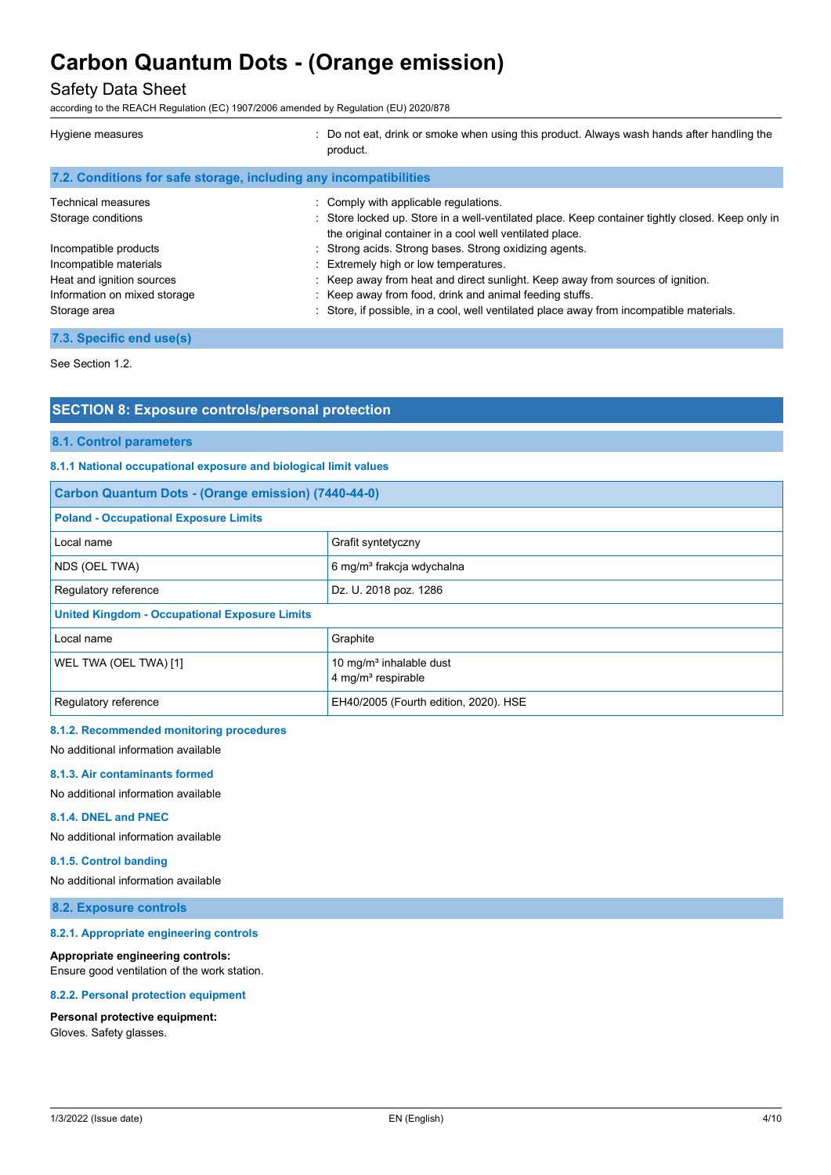## Safety Data Sheet

according to the REACH Regulation (EC) 1907/2006 amended by Regulation (EU) 2020/878

| Hygiene measures                                                  | : Do not eat, drink or smoke when using this product. Always wash hands after handling the<br>product.                                                      |
|-------------------------------------------------------------------|-------------------------------------------------------------------------------------------------------------------------------------------------------------|
| 7.2. Conditions for safe storage, including any incompatibilities |                                                                                                                                                             |
| <b>Technical measures</b>                                         | : Comply with applicable regulations.                                                                                                                       |
| Storage conditions                                                | : Store locked up. Store in a well-ventilated place. Keep container tightly closed. Keep only in<br>the original container in a cool well ventilated place. |
| Incompatible products                                             | : Strong acids. Strong bases. Strong oxidizing agents.                                                                                                      |
| Incompatible materials                                            | : Extremely high or low temperatures.                                                                                                                       |
| Heat and ignition sources                                         | : Keep away from heat and direct sunlight. Keep away from sources of ignition.                                                                              |
| Information on mixed storage                                      | : Keep away from food, drink and animal feeding stuffs.                                                                                                     |
| Storage area                                                      | Store, if possible, in a cool, well ventilated place away from incompatible materials.                                                                      |
| 7.3. Specific end use(s)                                          |                                                                                                                                                             |

See Section 1.2.

### **SECTION 8: Exposure controls/personal protection**

#### **8.1. Control parameters**

#### **8.1.1 National occupational exposure and biological limit values**

| Carbon Quantum Dots - (Orange emission) (7440-44-0)  |                                                                       |  |
|------------------------------------------------------|-----------------------------------------------------------------------|--|
| <b>Poland - Occupational Exposure Limits</b>         |                                                                       |  |
| Local name                                           | Grafit syntetyczny                                                    |  |
| NDS (OEL TWA)                                        | 6 mg/m <sup>3</sup> frakcja wdychalna                                 |  |
| Dz. U. 2018 poz. 1286<br>Regulatory reference        |                                                                       |  |
| <b>United Kingdom - Occupational Exposure Limits</b> |                                                                       |  |
| Local name                                           | Graphite                                                              |  |
| WEL TWA (OEL TWA) [1]                                | 10 mg/m <sup>3</sup> inhalable dust<br>4 mg/m <sup>3</sup> respirable |  |
| Regulatory reference                                 | EH40/2005 (Fourth edition, 2020). HSE                                 |  |

#### **8.1.2. Recommended monitoring procedures**

No additional information available

#### **8.1.3. Air contaminants formed**

No additional information available

#### **8.1.4. DNEL and PNEC**

No additional information available

#### **8.1.5. Control banding**

No additional information available

### **8.2. Exposure controls**

#### **8.2.1. Appropriate engineering controls**

#### **Appropriate engineering controls:**

Ensure good ventilation of the work station.

#### **8.2.2. Personal protection equipment**

#### **Personal protective equipment:**

Gloves. Safety glasses.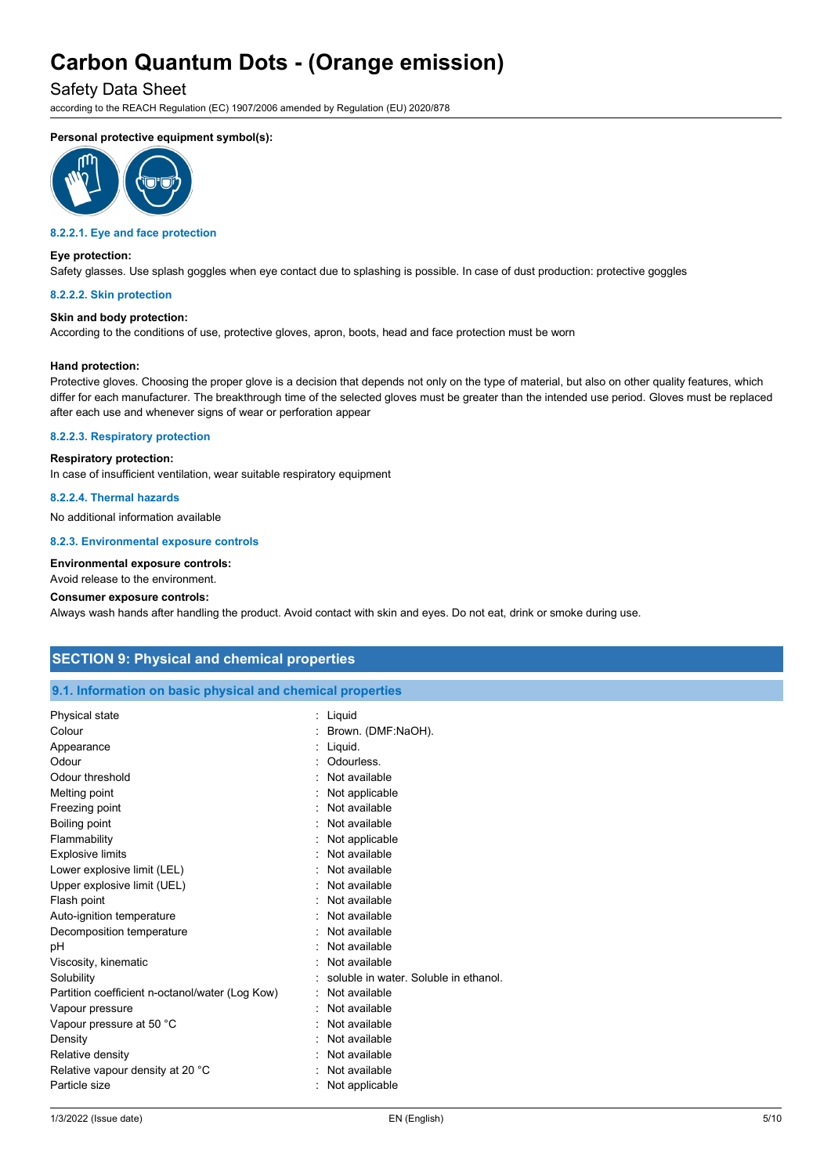### Safety Data Sheet

according to the REACH Regulation (EC) 1907/2006 amended by Regulation (EU) 2020/878

### **Personal protective equipment symbol(s):**



#### **8.2.2.1. Eye and face protection**

#### **Eye protection:**

Safety glasses. Use splash goggles when eye contact due to splashing is possible. In case of dust production: protective goggles

#### **8.2.2.2. Skin protection**

#### **Skin and body protection:**

According to the conditions of use, protective gloves, apron, boots, head and face protection must be worn

#### **Hand protection:**

Protective gloves. Choosing the proper glove is a decision that depends not only on the type of material, but also on other quality features, which differ for each manufacturer. The breakthrough time of the selected gloves must be greater than the intended use period. Gloves must be replaced after each use and whenever signs of wear or perforation appear

#### **8.2.2.3. Respiratory protection**

#### **Respiratory protection:**

In case of insufficient ventilation, wear suitable respiratory equipment

#### **8.2.2.4. Thermal hazards**

No additional information available

#### **8.2.3. Environmental exposure controls**

#### **Environmental exposure controls:**

Avoid release to the environment.

#### **Consumer exposure controls:**

Always wash hands after handling the product. Avoid contact with skin and eyes. Do not eat, drink or smoke during use.

### **SECTION 9: Physical and chemical properties**

#### **9.1. Information on basic physical and chemical properties**

| <b>Physical state</b>                           | : Liguid                              |
|-------------------------------------------------|---------------------------------------|
| Colour                                          | Brown. (DMF:NaOH).                    |
| Appearance                                      | Liquid.                               |
| Odour                                           | Odourless.                            |
| Odour threshold                                 | Not available                         |
| Melting point                                   | Not applicable                        |
| Freezing point                                  | Not available                         |
| Boiling point                                   | Not available                         |
| Flammability                                    | Not applicable                        |
| <b>Explosive limits</b>                         | Not available                         |
| Lower explosive limit (LEL)                     | Not available                         |
| Upper explosive limit (UEL)                     | Not available                         |
| Flash point                                     | Not available                         |
| Decomposition temperature                       | Not available                         |
| рH                                              | Not available                         |
| Viscosity, kinematic                            | Not available                         |
| Solubility                                      | soluble in water. Soluble in ethanol. |
| Partition coefficient n-octanol/water (Log Kow) | Not available                         |
| Vapour pressure                                 | Not available                         |
| Vapour pressure at 50 °C                        | Not available                         |
| Density                                         | Not available                         |
| Relative density                                | Not available                         |
| Relative vapour density at 20 °C                | Not available                         |
| Particle size                                   | Not applicable                        |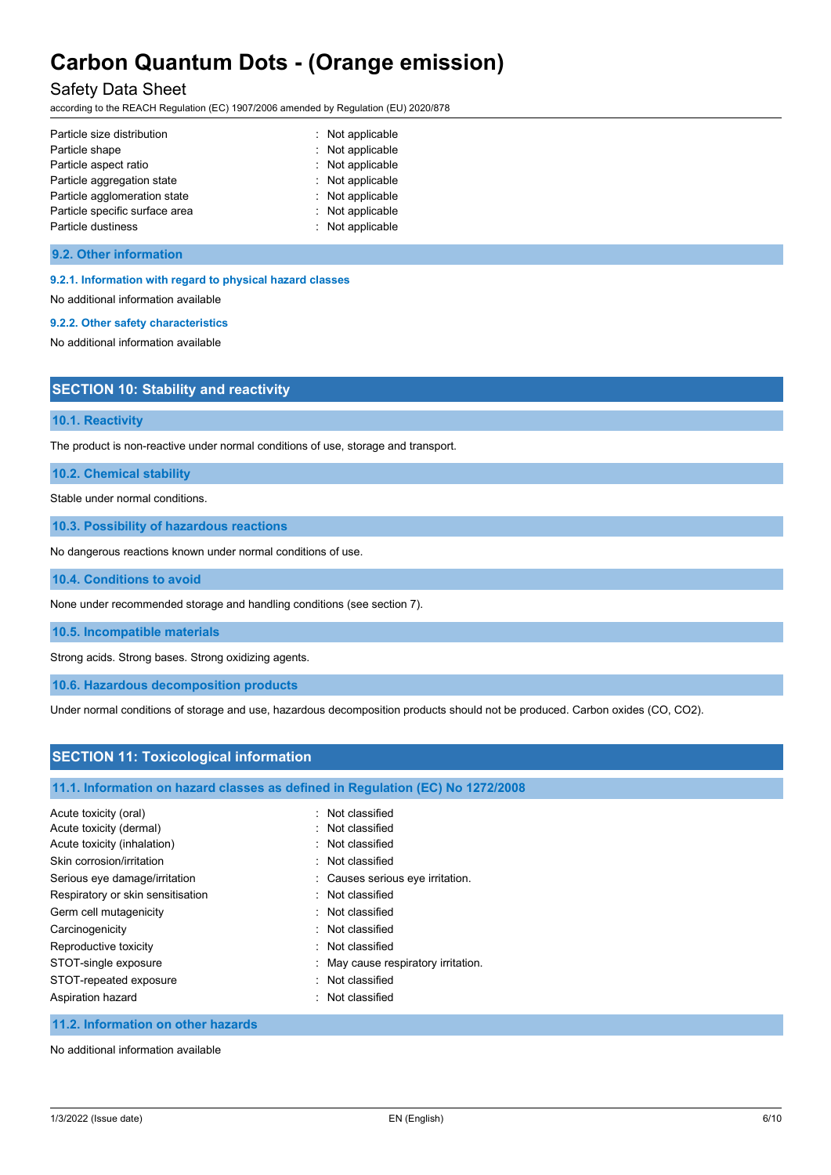## Safety Data Sheet

according to the REACH Regulation (EC) 1907/2006 amended by Regulation (EU) 2020/878

| Particle size distribution     | : Not applicable |
|--------------------------------|------------------|
| Particle shape                 | : Not applicable |
| Particle aspect ratio          | : Not applicable |
| Particle aggregation state     | : Not applicable |
| Particle agglomeration state   | : Not applicable |
| Particle specific surface area | : Not applicable |
| Particle dustiness             | : Not applicable |

#### **9.2. Other information**

#### **9.2.1. Information with regard to physical hazard classes**

No additional information available

#### **9.2.2. Other safety characteristics**

No additional information available

| <b>SECTION 10: Stability and reactivity</b> |  |
|---------------------------------------------|--|
|---------------------------------------------|--|

#### **10.1. Reactivity**

The product is non-reactive under normal conditions of use, storage and transport.

**10.2. Chemical stability**

Stable under normal conditions.

**10.3. Possibility of hazardous reactions**

No dangerous reactions known under normal conditions of use.

#### **10.4. Conditions to avoid**

None under recommended storage and handling conditions (see section 7).

**10.5. Incompatible materials**

Strong acids. Strong bases. Strong oxidizing agents.

**10.6. Hazardous decomposition products**

Under normal conditions of storage and use, hazardous decomposition products should not be produced. Carbon oxides (CO, CO2).

### **SECTION 11: Toxicological information**

#### **11.1. Information on hazard classes as defined in Regulation (EC) No 1272/2008**

| Acute toxicity (oral)             | · Not classified                    |
|-----------------------------------|-------------------------------------|
| Acute toxicity (dermal)           | · Not classified                    |
| Acute toxicity (inhalation)       | : Not classified                    |
| Skin corrosion/irritation         | : Not classified                    |
| Serious eye damage/irritation     | : Causes serious eye irritation.    |
| Respiratory or skin sensitisation | : Not classified                    |
| Germ cell mutagenicity            | · Not classified                    |
| Carcinogenicity                   | : Not classified                    |
| Reproductive toxicity             | : Not classified                    |
| STOT-single exposure              | : May cause respiratory irritation. |
| STOT-repeated exposure            | : Not classified                    |
| Aspiration hazard                 | : Not classified                    |

#### **11.2. Information on other hazards**

No additional information available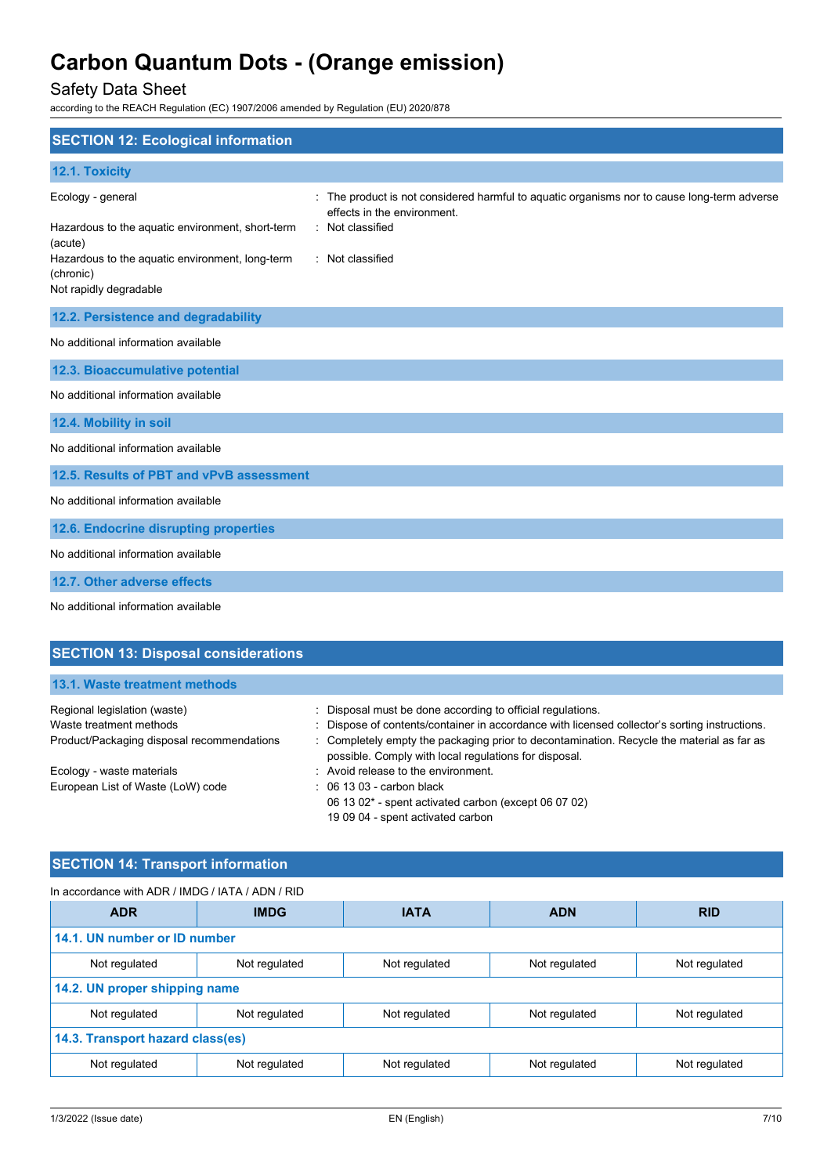## Safety Data Sheet

according to the REACH Regulation (EC) 1907/2006 amended by Regulation (EU) 2020/878

| <b>SECTION 12: Ecological information</b>                                                         |                                                                                                                                              |
|---------------------------------------------------------------------------------------------------|----------------------------------------------------------------------------------------------------------------------------------------------|
| 12.1. Toxicity                                                                                    |                                                                                                                                              |
| Ecology - general<br>Hazardous to the aquatic environment, short-term                             | The product is not considered harmful to aquatic organisms nor to cause long-term adverse<br>effects in the environment.<br>: Not classified |
| (acute)<br>Hazardous to the aquatic environment, long-term<br>(chronic)<br>Not rapidly degradable | : Not classified                                                                                                                             |
| 12.2. Persistence and degradability                                                               |                                                                                                                                              |
| No additional information available                                                               |                                                                                                                                              |
| 12.3. Bioaccumulative potential                                                                   |                                                                                                                                              |
| No additional information available                                                               |                                                                                                                                              |
| 12.4. Mobility in soil                                                                            |                                                                                                                                              |
| No additional information available                                                               |                                                                                                                                              |
| 12.5. Results of PBT and vPvB assessment                                                          |                                                                                                                                              |
| No additional information available                                                               |                                                                                                                                              |
| 12.6. Endocrine disrupting properties                                                             |                                                                                                                                              |
| No additional information available                                                               |                                                                                                                                              |
| 12.7. Other adverse effects                                                                       |                                                                                                                                              |

No additional information available

| <b>SECTION 13: Disposal considerations</b> |                                                                                                                                                    |  |
|--------------------------------------------|----------------------------------------------------------------------------------------------------------------------------------------------------|--|
| 13.1. Waste treatment methods              |                                                                                                                                                    |  |
|                                            |                                                                                                                                                    |  |
| Regional legislation (waste)               | : Disposal must be done according to official regulations.                                                                                         |  |
| Waste treatment methods                    | : Dispose of contents/container in accordance with licensed collector's sorting instructions.                                                      |  |
| Product/Packaging disposal recommendations | : Completely empty the packaging prior to decontamination. Recycle the material as far as<br>possible. Comply with local regulations for disposal. |  |
| Ecology - waste materials                  | : Avoid release to the environment.                                                                                                                |  |
| European List of Waste (LoW) code          | $\therefore$ 06 13 03 - carbon black                                                                                                               |  |
|                                            | 06 13 02 $^*$ - spent activated carbon (except 06 07 02)                                                                                           |  |
|                                            | 19 09 04 - spent activated carbon                                                                                                                  |  |

## **SECTION 14: Transport information**

| In accordance with ADR / IMDG / IATA / ADN / RID |                                          |               |               |               |
|--------------------------------------------------|------------------------------------------|---------------|---------------|---------------|
| <b>ADR</b>                                       | <b>IMDG</b><br><b>IATA</b><br><b>ADN</b> |               | <b>RID</b>    |               |
| 14.1. UN number or ID number                     |                                          |               |               |               |
| Not regulated                                    | Not regulated                            | Not regulated | Not regulated | Not regulated |
| 14.2. UN proper shipping name                    |                                          |               |               |               |
| Not regulated                                    | Not regulated                            | Not regulated | Not regulated | Not regulated |
| 14.3. Transport hazard class(es)                 |                                          |               |               |               |
| Not regulated                                    | Not regulated                            | Not regulated | Not regulated | Not regulated |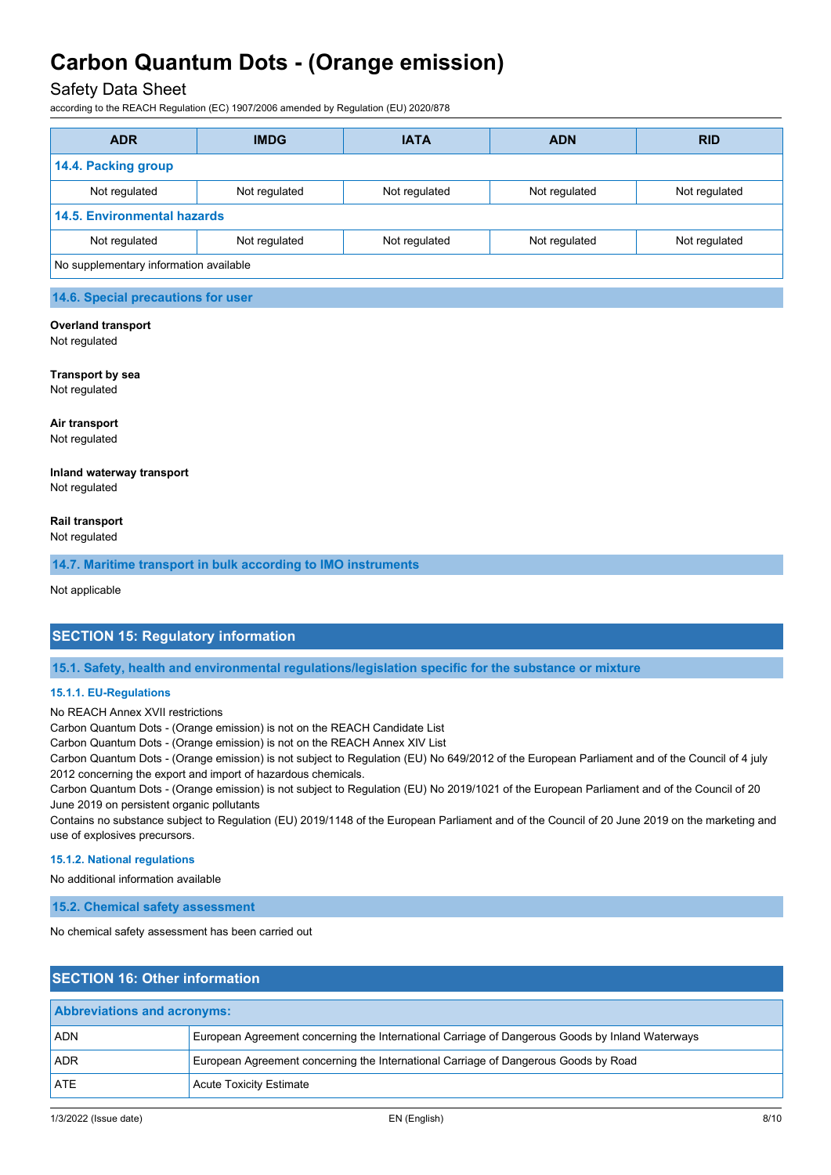### Safety Data Sheet

according to the REACH Regulation (EC) 1907/2006 amended by Regulation (EU) 2020/878

| <b>ADR</b>                             | <b>IMDG</b>   | <b>IATA</b><br><b>ADN</b> |               | <b>RID</b>    |
|----------------------------------------|---------------|---------------------------|---------------|---------------|
| 14.4. Packing group                    |               |                           |               |               |
| Not regulated                          | Not regulated | Not regulated             | Not regulated | Not regulated |
| <b>14.5. Environmental hazards</b>     |               |                           |               |               |
| Not regulated                          | Not regulated | Not regulated             | Not regulated | Not regulated |
| No supplementary information available |               |                           |               |               |
|                                        |               |                           |               |               |

## **14.6. Special precautions for user**

#### **Overland transport**

Not regulated

## **Transport by sea**

Not regulated

**Air transport** Not regulated

#### **Inland waterway transport** Not regulated

**Rail transport**

Not regulated

**14.7. Maritime transport in bulk according to IMO instruments**

Not applicable

### **SECTION 15: Regulatory information**

**15.1. Safety, health and environmental regulations/legislation specific for the substance or mixture**

#### **15.1.1. EU-Regulations**

No REACH Annex XVII restrictions

Carbon Quantum Dots - (Orange emission) is not on the REACH Candidate List

Carbon Quantum Dots - (Orange emission) is not on the REACH Annex XIV List

Carbon Quantum Dots - (Orange emission) is not subject to Regulation (EU) No 649/2012 of the European Parliament and of the Council of 4 july 2012 concerning the export and import of hazardous chemicals.

Carbon Quantum Dots - (Orange emission) is not subject to Regulation (EU) No 2019/1021 of the European Parliament and of the Council of 20 June 2019 on persistent organic pollutants

Contains no substance subject to Regulation (EU) 2019/1148 of the European Parliament and of the Council of 20 June 2019 on the marketing and use of explosives precursors.

#### **15.1.2. National regulations**

No additional information available

**15.2. Chemical safety assessment**

No chemical safety assessment has been carried out

## **SECTION 16: Other information Abbreviations and acronyms:** ADN European Agreement concerning the International Carriage of Dangerous Goods by Inland Waterways ADR European Agreement concerning the International Carriage of Dangerous Goods by Road ATE Acute Toxicity Estimate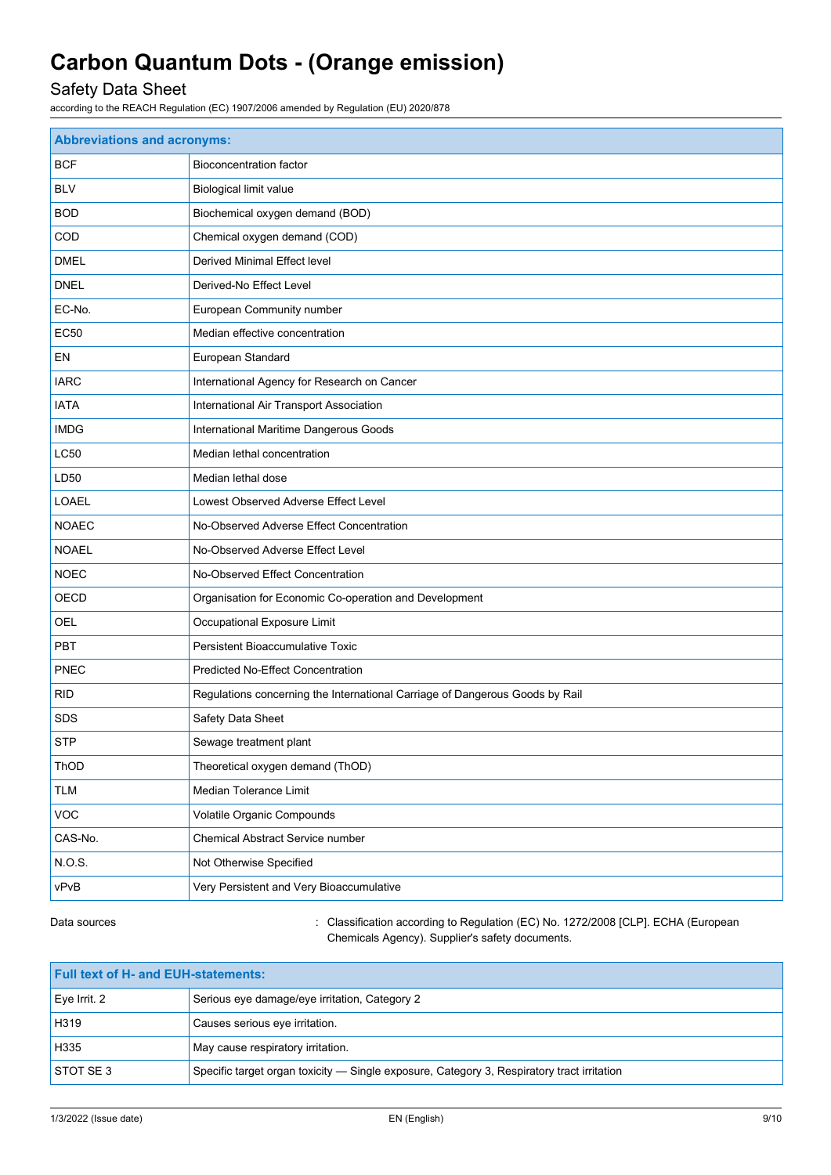## Safety Data Sheet

according to the REACH Regulation (EC) 1907/2006 amended by Regulation (EU) 2020/878

| <b>Abbreviations and acronyms:</b> |                                                                              |  |
|------------------------------------|------------------------------------------------------------------------------|--|
| <b>BCF</b>                         | <b>Bioconcentration factor</b>                                               |  |
| <b>BLV</b>                         | Biological limit value                                                       |  |
| <b>BOD</b>                         | Biochemical oxygen demand (BOD)                                              |  |
| COD                                | Chemical oxygen demand (COD)                                                 |  |
| <b>DMEL</b>                        | <b>Derived Minimal Effect level</b>                                          |  |
| <b>DNEL</b>                        | Derived-No Effect Level                                                      |  |
| EC-No.                             | European Community number                                                    |  |
| <b>EC50</b>                        | Median effective concentration                                               |  |
| EN                                 | European Standard                                                            |  |
| <b>IARC</b>                        | International Agency for Research on Cancer                                  |  |
| <b>IATA</b>                        | International Air Transport Association                                      |  |
| <b>IMDG</b>                        | International Maritime Dangerous Goods                                       |  |
| LC50                               | Median lethal concentration                                                  |  |
| LD50                               | Median lethal dose                                                           |  |
| <b>LOAEL</b>                       | Lowest Observed Adverse Effect Level                                         |  |
| <b>NOAEC</b>                       | No-Observed Adverse Effect Concentration                                     |  |
| <b>NOAEL</b>                       | No-Observed Adverse Effect Level                                             |  |
| <b>NOEC</b>                        | No-Observed Effect Concentration                                             |  |
| OECD                               | Organisation for Economic Co-operation and Development                       |  |
| OEL                                | Occupational Exposure Limit                                                  |  |
| <b>PBT</b>                         | Persistent Bioaccumulative Toxic                                             |  |
| <b>PNEC</b>                        | <b>Predicted No-Effect Concentration</b>                                     |  |
| <b>RID</b>                         | Regulations concerning the International Carriage of Dangerous Goods by Rail |  |
| <b>SDS</b>                         | Safety Data Sheet                                                            |  |
| <b>STP</b>                         | Sewage treatment plant                                                       |  |
| ThOD                               | Theoretical oxygen demand (ThOD)                                             |  |
| <b>TLM</b>                         | Median Tolerance Limit                                                       |  |
| VOC                                | Volatile Organic Compounds                                                   |  |
| CAS-No.                            | Chemical Abstract Service number                                             |  |
| N.O.S.                             | Not Otherwise Specified                                                      |  |
| vPvB                               | Very Persistent and Very Bioaccumulative                                     |  |

Data sources **in the sources** : Classification according to Regulation (EC) No. 1272/2008 [CLP]. ECHA (European Chemicals Agency). Supplier's safety documents.

| <b>Full text of H- and EUH-statements:</b>                                                                     |                                               |
|----------------------------------------------------------------------------------------------------------------|-----------------------------------------------|
| $Eve$ Irrit. 2                                                                                                 | Serious eye damage/eye irritation, Category 2 |
| H319                                                                                                           | Causes serious eye irritation.                |
| H335                                                                                                           | May cause respiratory irritation.             |
| <b>STOT SE 3</b><br>Specific target organ toxicity — Single exposure, Category 3, Respiratory tract irritation |                                               |